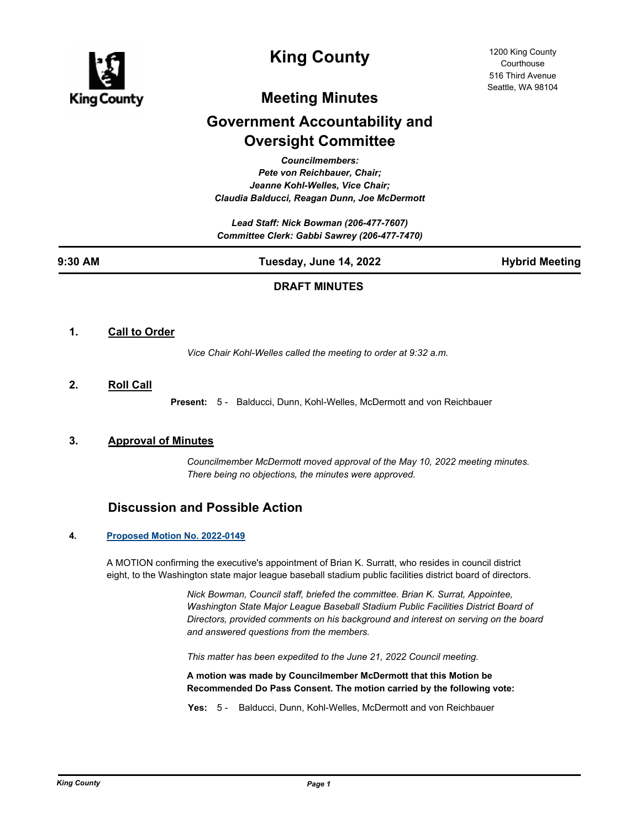

# **King County**

1200 King County **Courthouse** 516 Third Avenue Seattle, WA 98104

## **Meeting Minutes**

## **Government Accountability and Oversight Committee**

*Councilmembers: Pete von Reichbauer, Chair; Jeanne Kohl-Welles, Vice Chair; Claudia Balducci, Reagan Dunn, Joe McDermott*

*Lead Staff: Nick Bowman (206-477-7607) Committee Clerk: Gabbi Sawrey (206-477-7470)*

# **9:30 AM Tuesday, June 14, 2022 Hybrid Meeting**

## **DRAFT MINUTES**

## **1. Call to Order**

*Vice Chair Kohl-Welles called the meeting to order at 9:32 a.m.*

## **2. Roll Call**

**Present:** 5 - Balducci, Dunn, Kohl-Welles, McDermott and von Reichbauer

## **3. Approval of Minutes**

*Councilmember McDermott moved approval of the May 10, 2022 meeting minutes. There being no objections, the minutes were approved.*

## **Discussion and Possible Action**

#### **4. [Proposed Motion No. 2022-0149](http://kingcounty.legistar.com/gateway.aspx?m=l&id=/matter.aspx?key=23011)**

A MOTION confirming the executive's appointment of Brian K. Surratt, who resides in council district eight, to the Washington state major league baseball stadium public facilities district board of directors.

> *Nick Bowman, Council staff, briefed the committee. Brian K. Surrat, Appointee, Washington State Major League Baseball Stadium Public Facilities District Board of Directors, provided comments on his background and interest on serving on the board and answered questions from the members.*

*This matter has been expedited to the June 21, 2022 Council meeting.*

**A motion was made by Councilmember McDermott that this Motion be Recommended Do Pass Consent. The motion carried by the following vote:**

**Yes:** 5 - Balducci, Dunn, Kohl-Welles, McDermott and von Reichbauer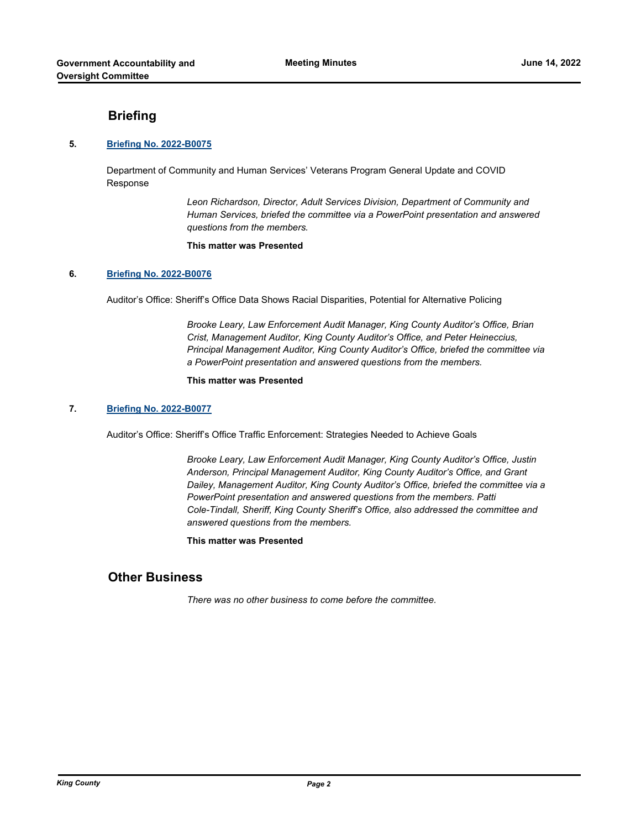## **Briefing**

### **5. [Briefing No. 2022-B0075](http://kingcounty.legistar.com/gateway.aspx?m=l&id=/matter.aspx?key=23156)**

Department of Community and Human Services' Veterans Program General Update and COVID Response

> *Leon Richardson, Director, Adult Services Division, Department of Community and Human Services, briefed the committee via a PowerPoint presentation and answered questions from the members.*

#### **This matter was Presented**

#### **6. [Briefing No. 2022-B0076](http://kingcounty.legistar.com/gateway.aspx?m=l&id=/matter.aspx?key=23157)**

Auditor's Office: Sheriff's Office Data Shows Racial Disparities, Potential for Alternative Policing

*Brooke Leary, Law Enforcement Audit Manager, King County Auditor's Office, Brian Crist, Management Auditor, King County Auditor's Office, and Peter Heineccius, Principal Management Auditor, King County Auditor's Office, briefed the committee via a PowerPoint presentation and answered questions from the members.*

#### **This matter was Presented**

### **7. [Briefing No. 2022-B0077](http://kingcounty.legistar.com/gateway.aspx?m=l&id=/matter.aspx?key=23158)**

Auditor's Office: Sheriff's Office Traffic Enforcement: Strategies Needed to Achieve Goals

*Brooke Leary, Law Enforcement Audit Manager, King County Auditor's Office, Justin Anderson, Principal Management Auditor, King County Auditor's Office, and Grant Dailey, Management Auditor, King County Auditor's Office, briefed the committee via a PowerPoint presentation and answered questions from the members. Patti Cole-Tindall, Sheriff, King County Sheriff's Office, also addressed the committee and answered questions from the members.*

### **This matter was Presented**

## **Other Business**

*There was no other business to come before the committee.*